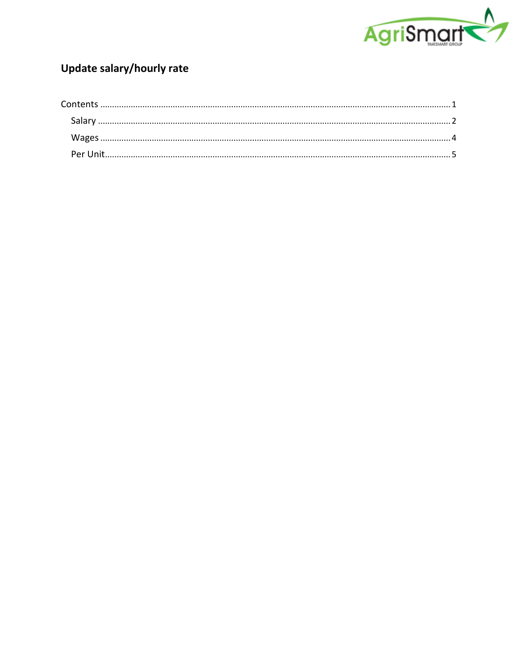

# Update salary/hourly rate

<span id="page-0-0"></span>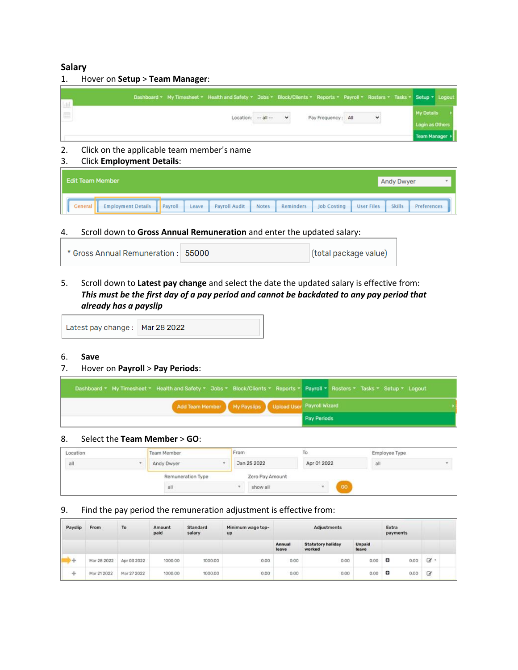#### <span id="page-1-0"></span>**Salary**

1. Hover on **Setup** > **Team Manager**:

|  | Dashboard * My Timesheet * Health and Safety * Jobs * Block/Clients * Reports * Payroll * Rosters * Tasks * Setup * Logout |         |              |                    |              |                                        |  |
|--|----------------------------------------------------------------------------------------------------------------------------|---------|--------------|--------------------|--------------|----------------------------------------|--|
|  | Location:                                                                                                                  | $-81 -$ | $\checkmark$ | Pay Frequency: All | $\checkmark$ | My Details                             |  |
|  |                                                                                                                            |         |              |                    |              | Login as Others<br><b>Team Manager</b> |  |

#### 2. Click on the applicable team member's name

3. Click **Employment Details**:

| <b>Edit Team Member</b>                                                                                                                    | <b>Andy Dwyer</b>            |
|--------------------------------------------------------------------------------------------------------------------------------------------|------------------------------|
| Payroll<br>Payroll Audit<br>Notes<br>Leave<br><b>Job Costing</b><br><b>Employment Details</b><br>Reminders<br><b>User Files</b><br>General | <b>Skills</b><br>Preferences |

4. Scroll down to **Gross Annual Remuneration** and enter the updated salary:

| * Gross Annual Remuneration: 55000 |  | (total package value) |
|------------------------------------|--|-----------------------|
|------------------------------------|--|-----------------------|

5. Scroll down to **Latest pay change** and select the date the updated salary is effective from: *This must be the first day of a pay period and cannot be backdated to any pay period that already has a payslip*

Latest pay change: Mar 28 2022

#### 6. **Save**

#### 7. Hover on **Payroll** > **Pay Periods**:

|  |  |                                                        |             | Dashboard * My Timesheet * Health and Safety * Jobs * Block/Clients * Reports * Payroll * Rosters * Tasks * Setup * Logout |  |
|--|--|--------------------------------------------------------|-------------|----------------------------------------------------------------------------------------------------------------------------|--|
|  |  | Add Team Member My Payslips Upload User Payroll Wizard |             |                                                                                                                            |  |
|  |  |                                                        | Pay Periods |                                                                                                                            |  |

#### 8. Select the **Team Member** > **GO**:

| Location | Team Member       | From |                 | To.         |    | Employee Type |  |
|----------|-------------------|------|-----------------|-------------|----|---------------|--|
| all      | Andy Dwyer        |      | Jan 25 2022     | Apr 01 2022 |    | all           |  |
|          | Remuneration Type |      | Zero Pay Amount |             |    |               |  |
|          | all               |      | show all        |             | GO |               |  |

#### 9. Find the pay period the remuneration adjustment is effective from:

| Payslip    | From        | To          | Amount<br>paid | Standard<br>salary | Minimum wage top-<br>up |                 | Adjustments                        | Extra<br>payments      |           |                |
|------------|-------------|-------------|----------------|--------------------|-------------------------|-----------------|------------------------------------|------------------------|-----------|----------------|
|            |             |             |                |                    |                         | Annual<br>leave | <b>Statutory holiday</b><br>worked | <b>Unpaid</b><br>leave |           |                |
| <b>Adv</b> | Mar 28 2022 | Apr 03 2022 | 1000.00        | 1000.00            | 0.00                    | 0.00            | 0.00                               | 0.00                   | ۰<br>0.00 | $\mathbb{Z}$ . |
| ÷          | Mar 21 2022 | Mar 27 2022 | 1000.00        | 1000.00            | 0.00                    | 0.00            | 0.00                               | 0.00                   | 0.00<br>۰ | Ø              |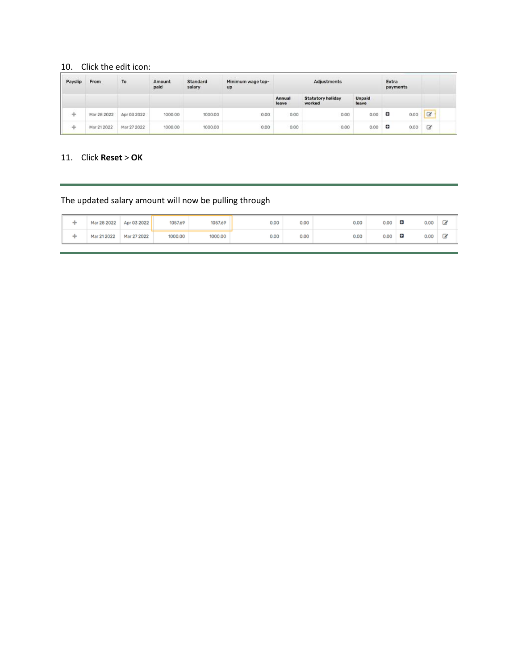# 10. Click the edit icon:

| Payslip | From        | To          | Amount<br>paid | Standard<br>salary | Minimum wage top-<br>up |                 | <b>Adjustments</b>                 |                        | Extra<br>payments |          |
|---------|-------------|-------------|----------------|--------------------|-------------------------|-----------------|------------------------------------|------------------------|-------------------|----------|
|         |             |             |                |                    |                         | Annual<br>leave | <b>Statutory holiday</b><br>worked | <b>Unpaid</b><br>leave |                   |          |
| -b-     | Mar 28 2022 | Apr 03 2022 | 1000.00        | 1000.00            | 0.00                    | 0.00            | 0.00                               | 0.00                   | o<br>0.00         | $\alpha$ |
| ÷       | Mar 21 2022 | Mar 27 2022 | 1000.00        | 1000.00            | 0.00                    | 0.00            | 0.00                               | 0.00                   | 0.00<br>Ð         | Q        |

#### 11. Click **Reset** > **OK**

# The updated salary amount will now be pulling through

| Mar 28 2022 | Apr 03 2022 | 1057.69 | 1057.69 | 0.00 | 0.00 | 0.00 | 0.00 | o<br>0.00 | تگ |
|-------------|-------------|---------|---------|------|------|------|------|-----------|----|
| Mar 21 2022 | Mar 27 2022 | 1000.00 | 1000.00 | 0.00 | 0.00 | 0.00 | 0.00 | o<br>0.00 | ى  |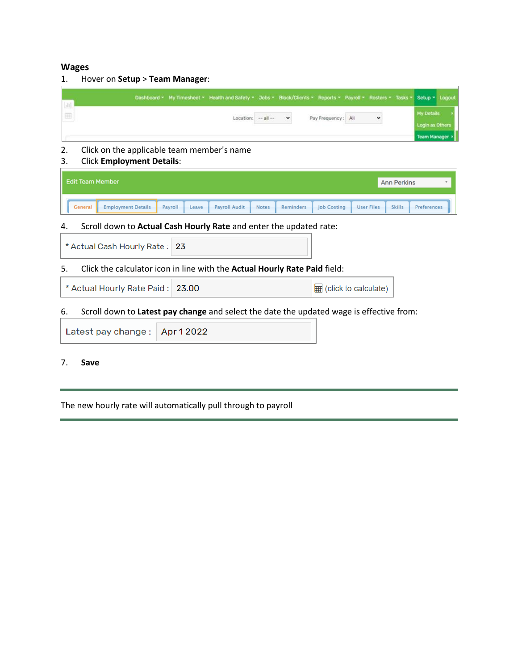#### <span id="page-3-0"></span>**Wages**

1. Hover on **Setup** > **Team Manager**:

|  |  | Dashboard * My Timesheet * Health and Safety * Jobs * Block/Clients * Reports * Payroll * Rosters * Tasks * Setup * Logout |              |                |     |              |                                   |  |
|--|--|----------------------------------------------------------------------------------------------------------------------------|--------------|----------------|-----|--------------|-----------------------------------|--|
|  |  | $Location: -- all --$                                                                                                      | $\checkmark$ | Pay Frequency: | All | $\checkmark$ | My Details                        |  |
|  |  |                                                                                                                            |              |                |     |              | Login as Others<br>Team Manager > |  |

#### 2. Click on the applicable team member's name

3. Click **Employment Details**:

| <b>Edit Team Member</b>              |                  |               |       |           |                    |                   | <b>Ann Perkins</b> |             |
|--------------------------------------|------------------|---------------|-------|-----------|--------------------|-------------------|--------------------|-------------|
| <b>Employment Details</b><br>General | Payroll<br>Leave | Payroll Audit | Notes | Reminders | <b>Job Costing</b> | <b>User Files</b> | <b>Skills</b>      | Preferences |

#### 4. Scroll down to **Actual Cash Hourly Rate** and enter the updated rate:

#### 6. Scroll down to **Latest pay change** and select the date the updated wage is effective from:

| Latest pay change: Apr 12022 |  |
|------------------------------|--|
|------------------------------|--|

#### 7. **Save**

The new hourly rate will automatically pull through to payroll